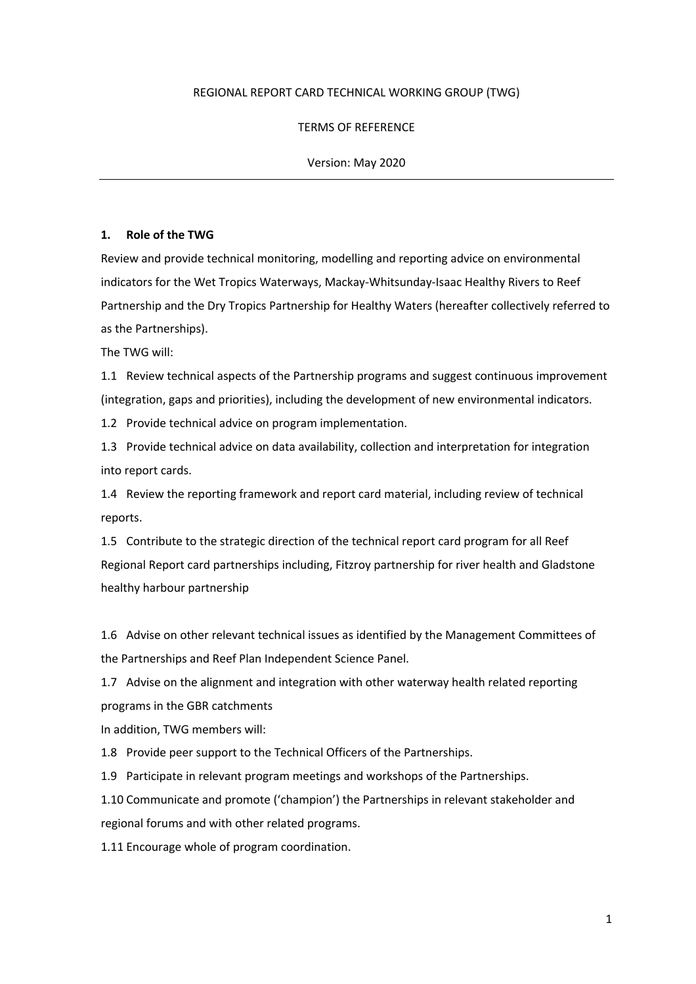## REGIONAL REPORT CARD TECHNICAL WORKING GROUP (TWG)

## TERMS OF REFERENCE

### Version: May 2020

#### **1. Role of the TWG**

Review and provide technical monitoring, modelling and reporting advice on environmental indicators for the Wet Tropics Waterways, Mackay-Whitsunday-Isaac Healthy Rivers to Reef Partnership and the Dry Tropics Partnership for Healthy Waters (hereafter collectively referred to as the Partnerships).

The TWG will:

1.1 Review technical aspects of the Partnership programs and suggest continuous improvement (integration, gaps and priorities), including the development of new environmental indicators.

1.2 Provide technical advice on program implementation.

1.3 Provide technical advice on data availability, collection and interpretation for integration into report cards.

1.4 Review the reporting framework and report card material, including review of technical reports.

1.5 Contribute to the strategic direction of the technical report card program for all Reef Regional Report card partnerships including, Fitzroy partnership for river health and Gladstone healthy harbour partnership

1.6 Advise on other relevant technical issues as identified by the Management Committees of the Partnerships and Reef Plan Independent Science Panel.

1.7 Advise on the alignment and integration with other waterway health related reporting programs in the GBR catchments

In addition, TWG members will:

1.8 Provide peer support to the Technical Officers of the Partnerships.

1.9 Participate in relevant program meetings and workshops of the Partnerships.

1.10 Communicate and promote ('champion') the Partnerships in relevant stakeholder and regional forums and with other related programs.

1.11 Encourage whole of program coordination.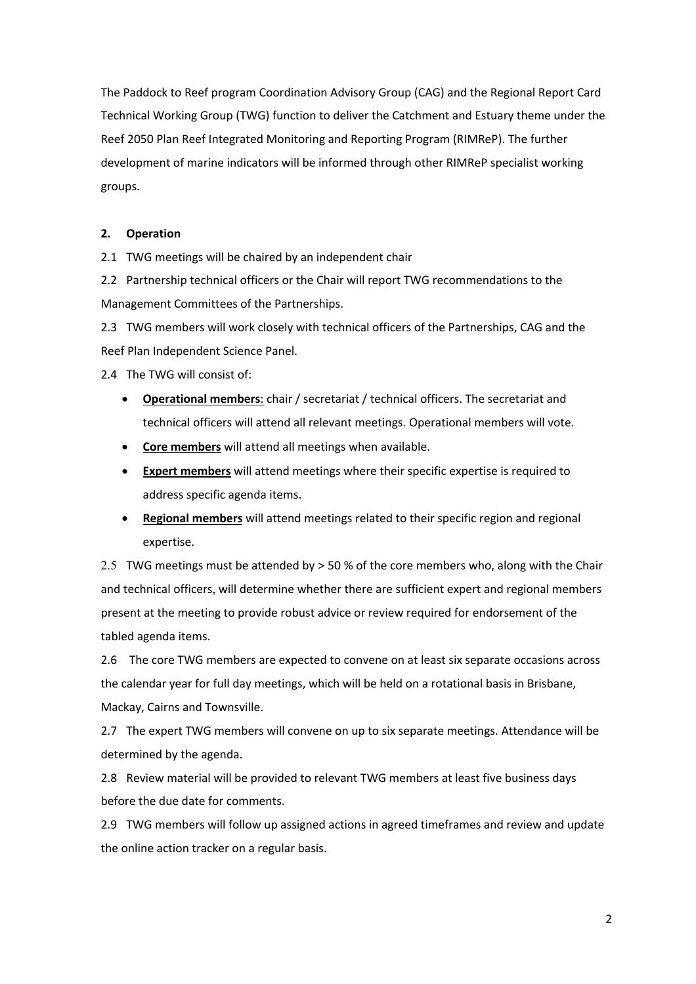The Paddock to Reef program Coordination Advisory Group (CAG) and the Regional Report Card Technical Working Group (TWG) function to deliver the Catchment and Estuary theme under the Reef 2050 Plan Reef Integrated Monitoring and Reporting Program (RIMReP). The further development of marine indicators will be informed through other RIMReP specialist working groups.

## **2. Operation**

2.1 TWG meetings will be chaired by an independent chair

2.2 Partnership technical officers or the Chair will report TWG recommendations to the Management Committees of the Partnerships.

2.3 TWG members will work closely with technical officers of the Partnerships, CAG and the Reef Plan Independent Science Panel.

2.4 The TWG will consist of:

- **Operational members**: chair / secretariat / technical officers. The secretariat and technical officers will attend all relevant meetings. Operational members will vote.
- **Core members** will attend all meetings when available.
- **Expert members** will attend meetings where their specific expertise is required to address specific agenda items.
- **Regional members** will attend meetings related to their specific region and regional expertise.

2.5 TWG meetings must be attended by > 50 % of the core members who, along with the Chair and technical officers, will determine whether there are sufficient expert and regional members present at the meeting to provide robust advice or review required for endorsement of the tabled agenda items.

2.6 The core TWG members are expected to convene on at least six separate occasions across the calendar year for full day meetings, which will be held on a rotational basis in Brisbane, Mackay, Cairns and Townsville.

2.7 The expert TWG members will convene on up to six separate meetings. Attendance will be determined by the agenda.

2.8 Review material will be provided to relevant TWG members at least five business days before the due date for comments.

2.9 TWG members will follow up assigned actions in agreed timeframes and review and update the online action tracker on a regular basis.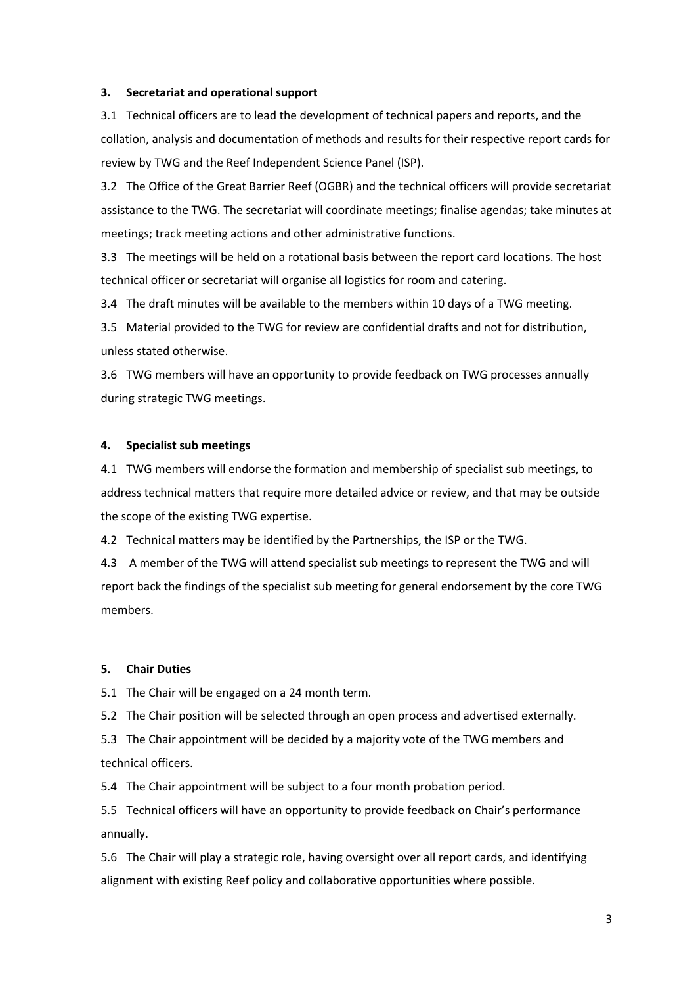### **3. Secretariat and operational support**

3.1 Technical officers are to lead the development of technical papers and reports, and the collation, analysis and documentation of methods and results for their respective report cards for review by TWG and the Reef Independent Science Panel (ISP).

3.2 The Office of the Great Barrier Reef (OGBR) and the technical officers will provide secretariat assistance to the TWG. The secretariat will coordinate meetings; finalise agendas; take minutes at meetings; track meeting actions and other administrative functions.

3.3 The meetings will be held on a rotational basis between the report card locations. The host technical officer or secretariat will organise all logistics for room and catering.

3.4 The draft minutes will be available to the members within 10 days of a TWG meeting.

3.5 Material provided to the TWG for review are confidential drafts and not for distribution, unless stated otherwise.

3.6 TWG members will have an opportunity to provide feedback on TWG processes annually during strategic TWG meetings.

#### **4. Specialist sub meetings**

4.1 TWG members will endorse the formation and membership of specialist sub meetings, to address technical matters that require more detailed advice or review, and that may be outside the scope of the existing TWG expertise.

4.2 Technical matters may be identified by the Partnerships, the ISP or the TWG.

4.3 A member of the TWG will attend specialist sub meetings to represent the TWG and will report back the findings of the specialist sub meeting for general endorsement by the core TWG members.

#### **5. Chair Duties**

5.1 The Chair will be engaged on a 24 month term.

5.2 The Chair position will be selected through an open process and advertised externally.

5.3 The Chair appointment will be decided by a majority vote of the TWG members and technical officers.

5.4 The Chair appointment will be subject to a four month probation period.

5.5 Technical officers will have an opportunity to provide feedback on Chair's performance annually.

5.6 The Chair will play a strategic role, having oversight over all report cards, and identifying alignment with existing Reef policy and collaborative opportunities where possible.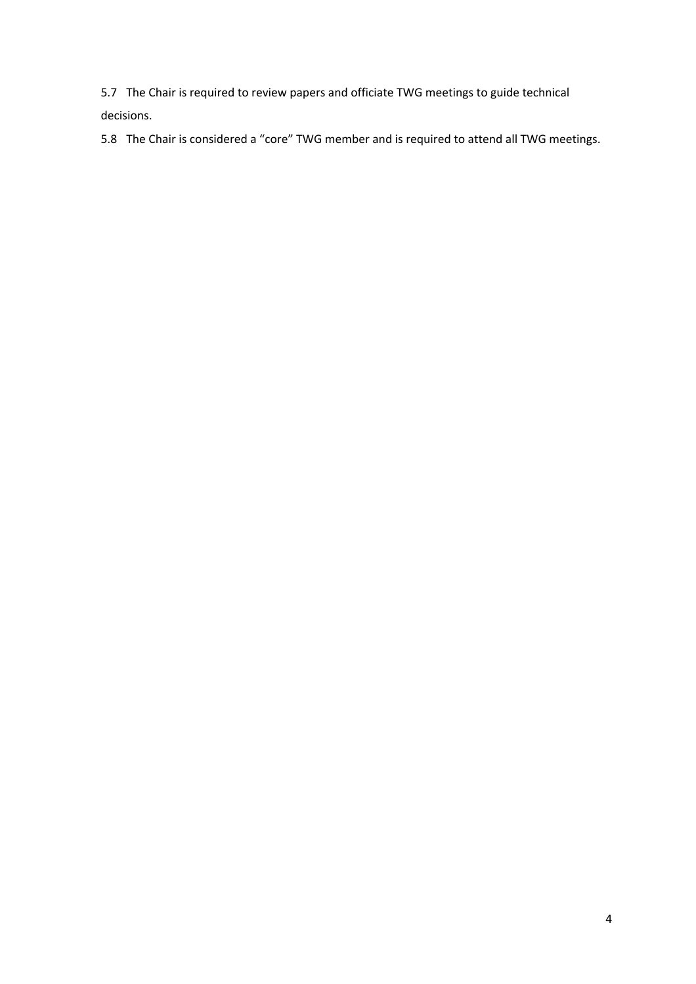5.7 The Chair is required to review papers and officiate TWG meetings to guide technical decisions.

5.8 The Chair is considered a "core" TWG member and is required to attend all TWG meetings.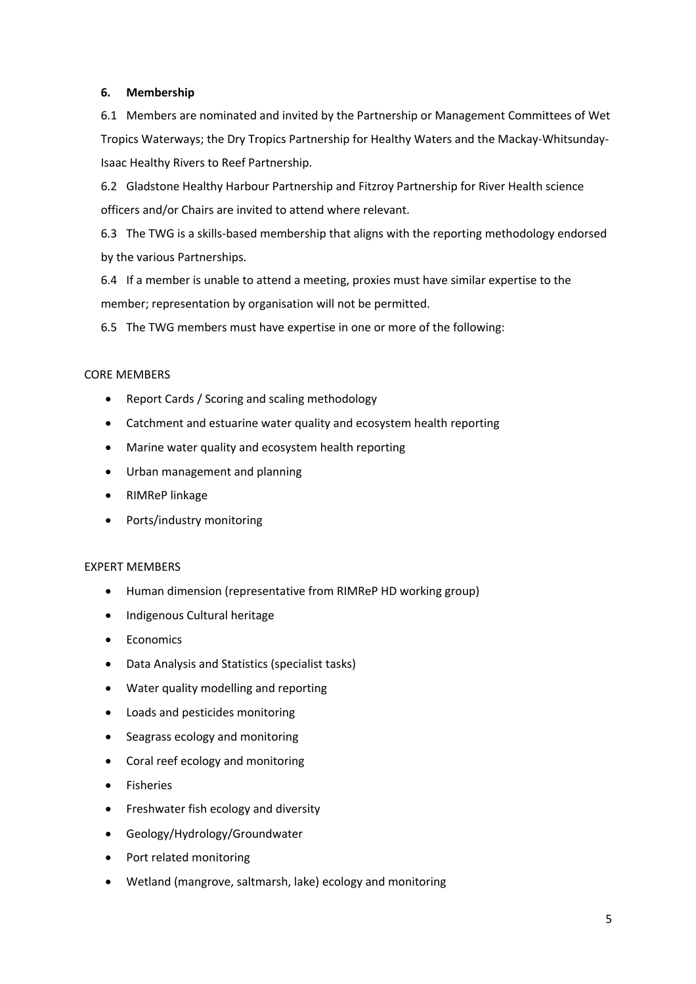## **6. Membership**

6.1 Members are nominated and invited by the Partnership or Management Committees of Wet Tropics Waterways; the Dry Tropics Partnership for Healthy Waters and the Mackay-Whitsunday-Isaac Healthy Rivers to Reef Partnership.

6.2 Gladstone Healthy Harbour Partnership and Fitzroy Partnership for River Health science officers and/or Chairs are invited to attend where relevant.

6.3 The TWG is a skills-based membership that aligns with the reporting methodology endorsed by the various Partnerships.

6.4 If a member is unable to attend a meeting, proxies must have similar expertise to the member; representation by organisation will not be permitted.

6.5 The TWG members must have expertise in one or more of the following:

## CORE MEMBERS

- Report Cards / Scoring and scaling methodology
- Catchment and estuarine water quality and ecosystem health reporting
- Marine water quality and ecosystem health reporting
- Urban management and planning
- RIMReP linkage
- Ports/industry monitoring

## EXPERT MEMBERS

- Human dimension (representative from RIMReP HD working group)
- Indigenous Cultural heritage
- Economics
- Data Analysis and Statistics (specialist tasks)
- Water quality modelling and reporting
- Loads and pesticides monitoring
- Seagrass ecology and monitoring
- Coral reef ecology and monitoring
- Fisheries
- Freshwater fish ecology and diversity
- Geology/Hydrology/Groundwater
- Port related monitoring
- Wetland (mangrove, saltmarsh, lake) ecology and monitoring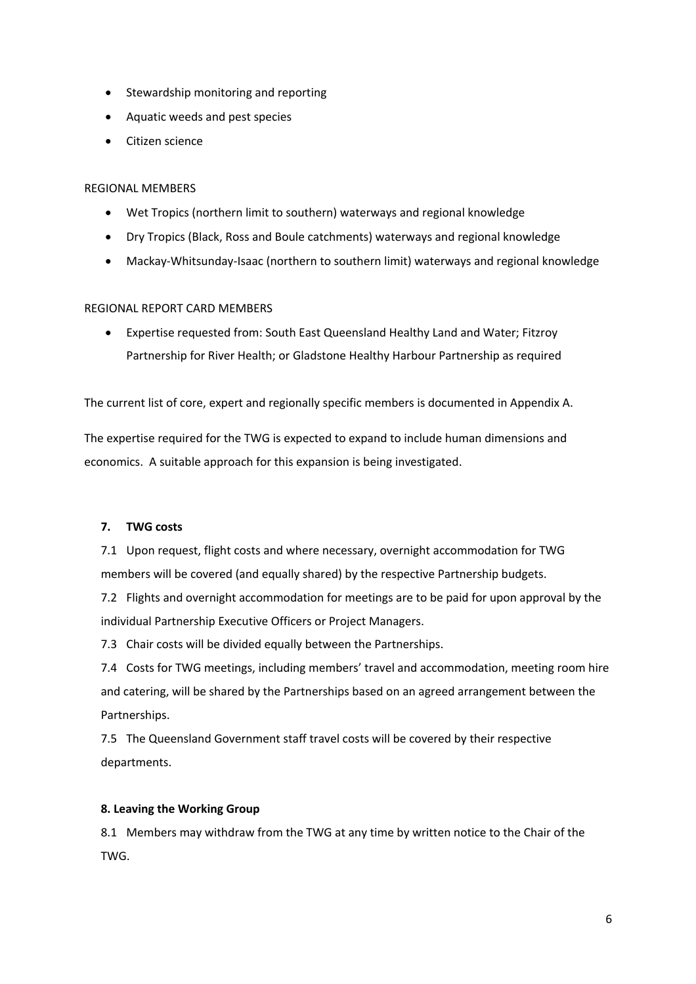- Stewardship monitoring and reporting
- Aquatic weeds and pest species
- Citizen science

# REGIONAL MEMBERS

- Wet Tropics (northern limit to southern) waterways and regional knowledge
- Dry Tropics (Black, Ross and Boule catchments) waterways and regional knowledge
- Mackay-Whitsunday-Isaac (northern to southern limit) waterways and regional knowledge

# REGIONAL REPORT CARD MEMBERS

• Expertise requested from: South East Queensland Healthy Land and Water; Fitzroy Partnership for River Health; or Gladstone Healthy Harbour Partnership as required

The current list of core, expert and regionally specific members is documented in Appendix A.

The expertise required for the TWG is expected to expand to include human dimensions and economics. A suitable approach for this expansion is being investigated.

# **7. TWG costs**

7.1 Upon request, flight costs and where necessary, overnight accommodation for TWG members will be covered (and equally shared) by the respective Partnership budgets.

7.2 Flights and overnight accommodation for meetings are to be paid for upon approval by the individual Partnership Executive Officers or Project Managers.

7.3 Chair costs will be divided equally between the Partnerships.

7.4 Costs for TWG meetings, including members' travel and accommodation, meeting room hire and catering, will be shared by the Partnerships based on an agreed arrangement between the Partnerships.

7.5 The Queensland Government staff travel costs will be covered by their respective departments.

# **8. Leaving the Working Group**

8.1 Members may withdraw from the TWG at any time by written notice to the Chair of the TWG.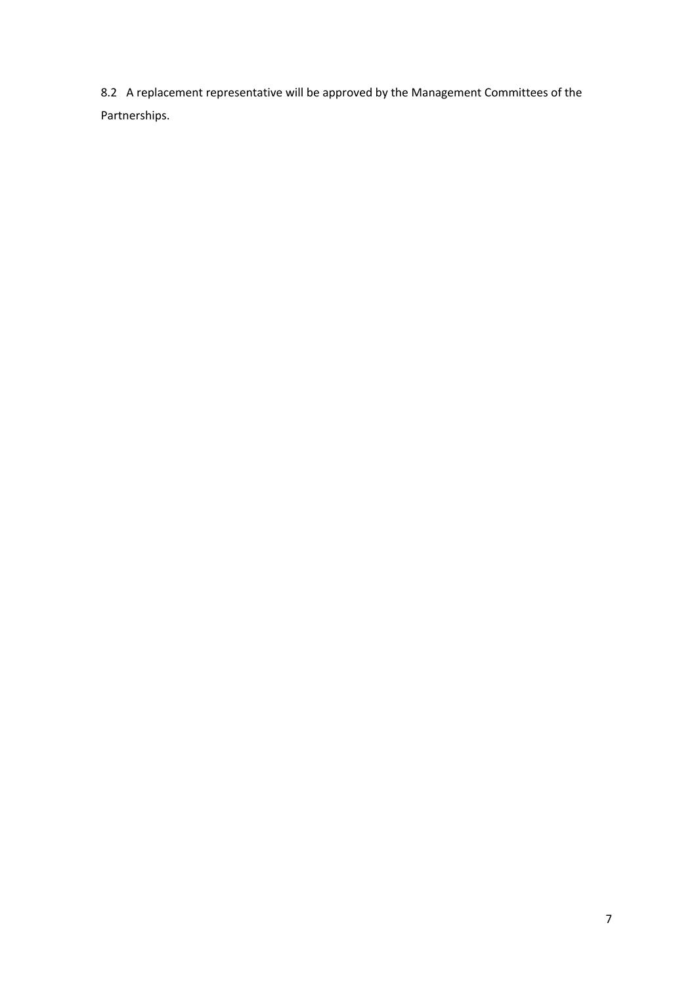8.2 A replacement representative will be approved by the Management Committees of the Partnerships.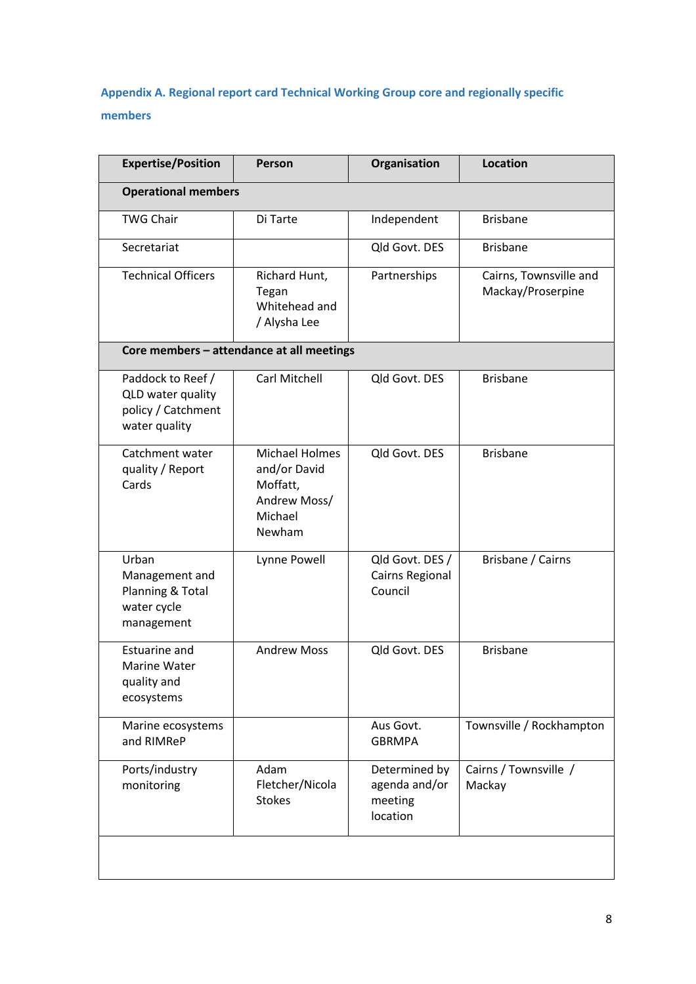# **Appendix A. Regional report card Technical Working Group core and regionally specific members**

| <b>Expertise/Position</b>                                                     | Person                                                                                 | Organisation                                          | <b>Location</b>                             |  |  |
|-------------------------------------------------------------------------------|----------------------------------------------------------------------------------------|-------------------------------------------------------|---------------------------------------------|--|--|
| <b>Operational members</b>                                                    |                                                                                        |                                                       |                                             |  |  |
| <b>TWG Chair</b>                                                              | Di Tarte                                                                               | Independent                                           | <b>Brisbane</b>                             |  |  |
| Secretariat                                                                   |                                                                                        | Qld Govt. DES                                         | <b>Brisbane</b>                             |  |  |
| <b>Technical Officers</b>                                                     | Richard Hunt,<br>Tegan<br>Whitehead and<br>/ Alysha Lee                                | Partnerships                                          | Cairns, Townsville and<br>Mackay/Proserpine |  |  |
|                                                                               | Core members - attendance at all meetings                                              |                                                       |                                             |  |  |
| Paddock to Reef /<br>QLD water quality<br>policy / Catchment<br>water quality | Carl Mitchell                                                                          | Qld Govt. DES                                         | <b>Brisbane</b>                             |  |  |
| Catchment water<br>quality / Report<br>Cards                                  | <b>Michael Holmes</b><br>and/or David<br>Moffatt,<br>Andrew Moss/<br>Michael<br>Newham | Old Govt. DES                                         | <b>Brisbane</b>                             |  |  |
| Urban<br>Management and<br>Planning & Total<br>water cycle<br>management      | Lynne Powell                                                                           | Qld Govt. DES /<br>Cairns Regional<br>Council         | Brisbane / Cairns                           |  |  |
| Estuarine and<br>Marine Water<br>quality and<br>ecosystems                    | <b>Andrew Moss</b>                                                                     | Qld Govt. DES                                         | <b>Brisbane</b>                             |  |  |
| Marine ecosystems<br>and RIMReP                                               |                                                                                        | Aus Govt.<br><b>GBRMPA</b>                            | Townsville / Rockhampton                    |  |  |
| Ports/industry<br>monitoring                                                  | Adam<br>Fletcher/Nicola<br><b>Stokes</b>                                               | Determined by<br>agenda and/or<br>meeting<br>location | Cairns / Townsville /<br>Mackay             |  |  |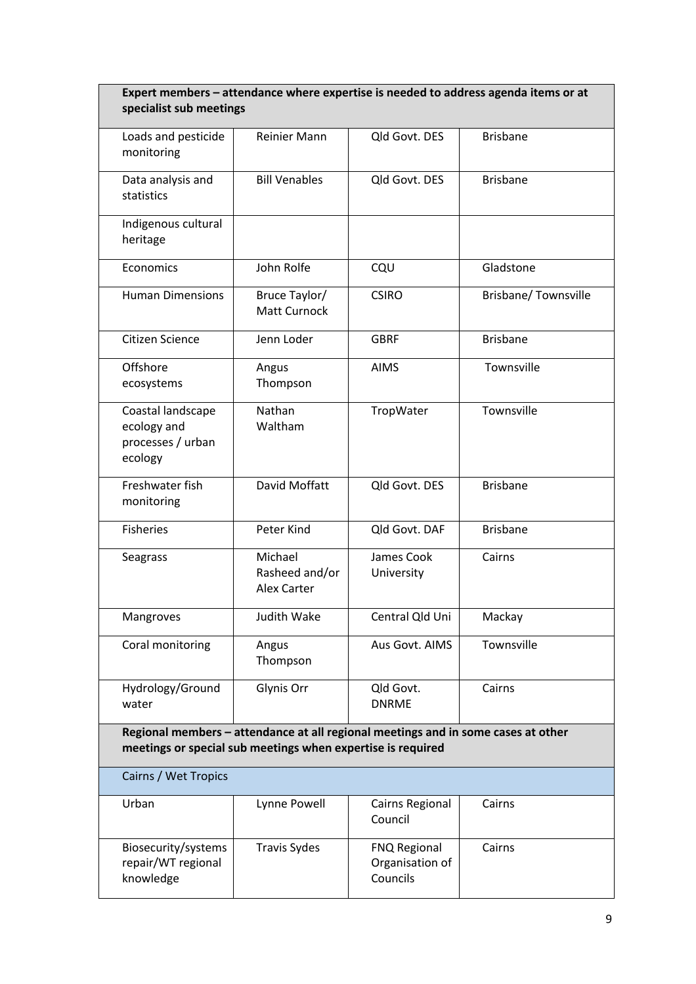| Expert members - attendance where expertise is needed to address agenda items or at<br>specialist sub meetings                                   |                                                 |                                             |                     |  |  |
|--------------------------------------------------------------------------------------------------------------------------------------------------|-------------------------------------------------|---------------------------------------------|---------------------|--|--|
| Loads and pesticide<br>monitoring                                                                                                                | Reinier Mann                                    | Qld Govt. DES                               | <b>Brisbane</b>     |  |  |
| Data analysis and<br>statistics                                                                                                                  | <b>Bill Venables</b>                            | Qld Govt. DES                               | <b>Brisbane</b>     |  |  |
| Indigenous cultural<br>heritage                                                                                                                  |                                                 |                                             |                     |  |  |
| Economics                                                                                                                                        | John Rolfe                                      | CQU                                         | Gladstone           |  |  |
| <b>Human Dimensions</b>                                                                                                                          | Bruce Taylor/<br>Matt Curnock                   | <b>CSIRO</b>                                | Brisbane/Townsville |  |  |
| Citizen Science                                                                                                                                  | Jenn Loder                                      | <b>GBRF</b>                                 | <b>Brisbane</b>     |  |  |
| Offshore<br>ecosystems                                                                                                                           | Angus<br>Thompson                               | <b>AIMS</b>                                 | Townsville          |  |  |
| Coastal landscape<br>ecology and<br>processes / urban<br>ecology                                                                                 | Nathan<br>Waltham                               | TropWater                                   | Townsville          |  |  |
| Freshwater fish<br>monitoring                                                                                                                    | David Moffatt                                   | Qld Govt. DES                               | <b>Brisbane</b>     |  |  |
| <b>Fisheries</b>                                                                                                                                 | Peter Kind                                      | Qld Govt. DAF                               | <b>Brisbane</b>     |  |  |
| Seagrass                                                                                                                                         | Michael<br>Rasheed and/or<br><b>Alex Carter</b> | James Cook<br>University                    | Cairns              |  |  |
| Mangroves                                                                                                                                        | Judith Wake                                     | Central Qld Uni                             | Mackay              |  |  |
| Coral monitoring                                                                                                                                 | Angus<br>Thompson                               | Aus Govt. AIMS                              | Townsville          |  |  |
| Hydrology/Ground<br>water                                                                                                                        | Glynis Orr                                      | Qld Govt.<br><b>DNRME</b>                   | Cairns              |  |  |
| Regional members - attendance at all regional meetings and in some cases at other<br>meetings or special sub meetings when expertise is required |                                                 |                                             |                     |  |  |
| Cairns / Wet Tropics                                                                                                                             |                                                 |                                             |                     |  |  |
| Urban                                                                                                                                            | Lynne Powell                                    | Cairns Regional<br>Council                  | Cairns              |  |  |
| Biosecurity/systems<br>repair/WT regional<br>knowledge                                                                                           | <b>Travis Sydes</b>                             | FNQ Regional<br>Organisation of<br>Councils | Cairns              |  |  |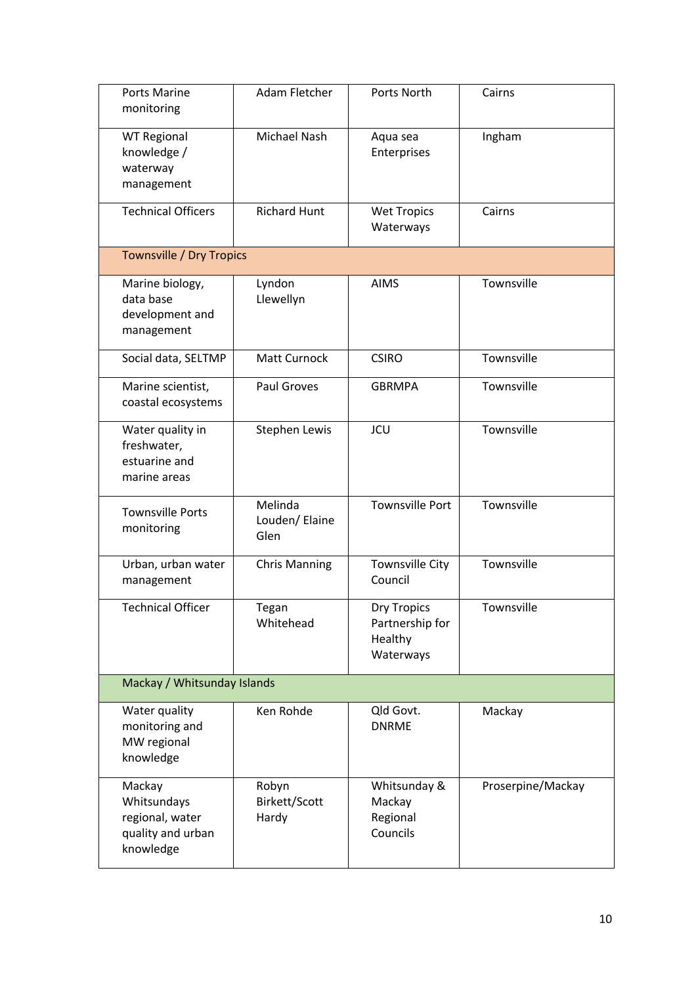| <b>Ports Marine</b><br>monitoring                                          | Adam Fletcher                     | Ports North                                                   | Cairns            |  |  |
|----------------------------------------------------------------------------|-----------------------------------|---------------------------------------------------------------|-------------------|--|--|
| <b>WT Regional</b><br>knowledge /<br>waterway<br>management                | Michael Nash                      | Aqua sea<br>Enterprises                                       | Ingham            |  |  |
| <b>Technical Officers</b>                                                  | <b>Richard Hunt</b>               | <b>Wet Tropics</b><br>Waterways                               | Cairns            |  |  |
| <b>Townsville / Dry Tropics</b>                                            |                                   |                                                               |                   |  |  |
| Marine biology,<br>data base<br>development and<br>management              | Lyndon<br>Llewellyn               | <b>AIMS</b>                                                   | Townsville        |  |  |
| Social data, SELTMP                                                        | Matt Curnock                      | <b>CSIRO</b>                                                  | Townsville        |  |  |
| Marine scientist,<br>coastal ecosystems                                    | Paul Groves                       | <b>GBRMPA</b>                                                 | Townsville        |  |  |
| Water quality in<br>freshwater,<br>estuarine and<br>marine areas           | Stephen Lewis                     | <b>JCU</b>                                                    | Townsville        |  |  |
| <b>Townsville Ports</b><br>monitoring                                      | Melinda<br>Louden/ Elaine<br>Glen | <b>Townsville Port</b>                                        | Townsville        |  |  |
| Urban, urban water<br>management                                           | <b>Chris Manning</b>              | <b>Townsville City</b><br>Council                             | Townsville        |  |  |
| <b>Technical Officer</b>                                                   | Tegan<br>Whitehead                | <b>Dry Tropics</b><br>Partnership for<br>Healthy<br>Waterways | Townsville        |  |  |
| Mackay / Whitsunday Islands                                                |                                   |                                                               |                   |  |  |
| Water quality<br>monitoring and<br>MW regional<br>knowledge                | Ken Rohde                         | Qld Govt.<br><b>DNRME</b>                                     | Mackay            |  |  |
| Mackay<br>Whitsundays<br>regional, water<br>quality and urban<br>knowledge | Robyn<br>Birkett/Scott<br>Hardy   | Whitsunday &<br>Mackay<br>Regional<br>Councils                | Proserpine/Mackay |  |  |